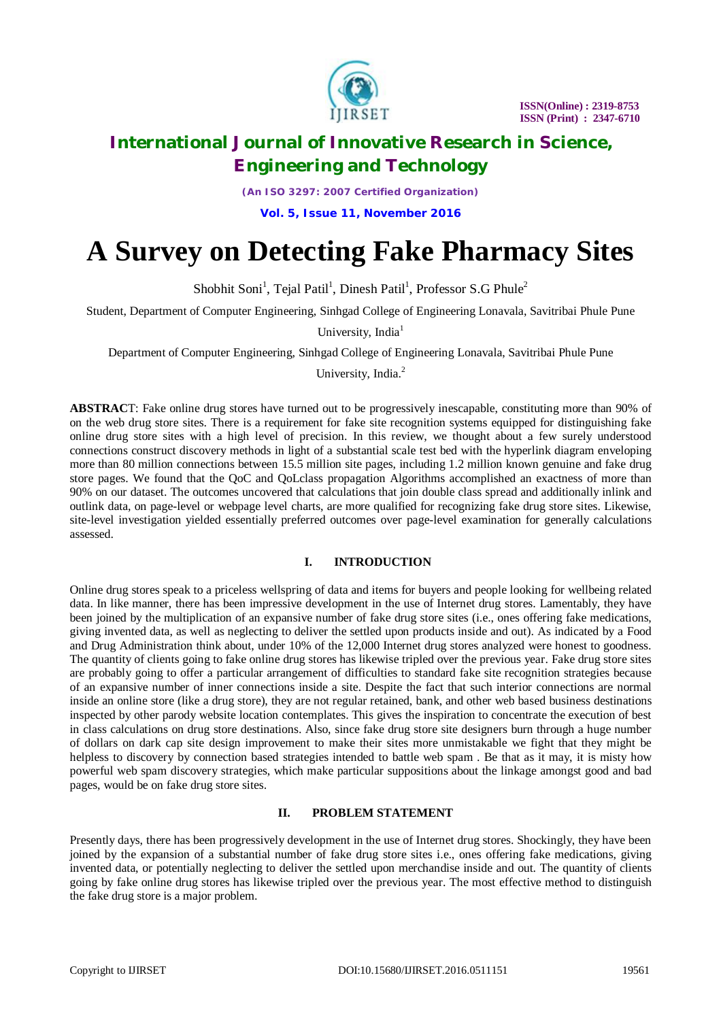

*(An ISO 3297: 2007 Certified Organization)*

**Vol. 5, Issue 11, November 2016**

# **A Survey on Detecting Fake Pharmacy Sites**

Shobhit Soni<sup>1</sup>, Tejal Patil<sup>1</sup>, Dinesh Patil<sup>1</sup>, Professor S.G Phule<sup>2</sup>

Student, Department of Computer Engineering, Sinhgad College of Engineering Lonavala, Savitribai Phule Pune

University, India<sup>1</sup>

Department of Computer Engineering, Sinhgad College of Engineering Lonavala, Savitribai Phule Pune

University, India.<sup>2</sup>

**ABSTRAC**T: Fake online drug stores have turned out to be progressively inescapable, constituting more than 90% of on the web drug store sites. There is a requirement for fake site recognition systems equipped for distinguishing fake online drug store sites with a high level of precision. In this review, we thought about a few surely understood connections construct discovery methods in light of a substantial scale test bed with the hyperlink diagram enveloping more than 80 million connections between 15.5 million site pages, including 1.2 million known genuine and fake drug store pages. We found that the QoC and QoLclass propagation Algorithms accomplished an exactness of more than 90% on our dataset. The outcomes uncovered that calculations that join double class spread and additionally inlink and outlink data, on page-level or webpage level charts, are more qualified for recognizing fake drug store sites. Likewise, site-level investigation yielded essentially preferred outcomes over page-level examination for generally calculations assessed.

### **I. INTRODUCTION**

Online drug stores speak to a priceless wellspring of data and items for buyers and people looking for wellbeing related data. In like manner, there has been impressive development in the use of Internet drug stores. Lamentably, they have been joined by the multiplication of an expansive number of fake drug store sites (i.e., ones offering fake medications, giving invented data, as well as neglecting to deliver the settled upon products inside and out). As indicated by a Food and Drug Administration think about, under 10% of the 12,000 Internet drug stores analyzed were honest to goodness. The quantity of clients going to fake online drug stores has likewise tripled over the previous year. Fake drug store sites are probably going to offer a particular arrangement of difficulties to standard fake site recognition strategies because of an expansive number of inner connections inside a site. Despite the fact that such interior connections are normal inside an online store (like a drug store), they are not regular retained, bank, and other web based business destinations inspected by other parody website location contemplates. This gives the inspiration to concentrate the execution of best in class calculations on drug store destinations. Also, since fake drug store site designers burn through a huge number of dollars on dark cap site design improvement to make their sites more unmistakable we fight that they might be helpless to discovery by connection based strategies intended to battle web spam. Be that as it may, it is misty how powerful web spam discovery strategies, which make particular suppositions about the linkage amongst good and bad pages, would be on fake drug store sites.

# **II. PROBLEM STATEMENT**

Presently days, there has been progressively development in the use of Internet drug stores. Shockingly, they have been joined by the expansion of a substantial number of fake drug store sites i.e., ones offering fake medications, giving invented data, or potentially neglecting to deliver the settled upon merchandise inside and out. The quantity of clients going by fake online drug stores has likewise tripled over the previous year. The most effective method to distinguish the fake drug store is a major problem.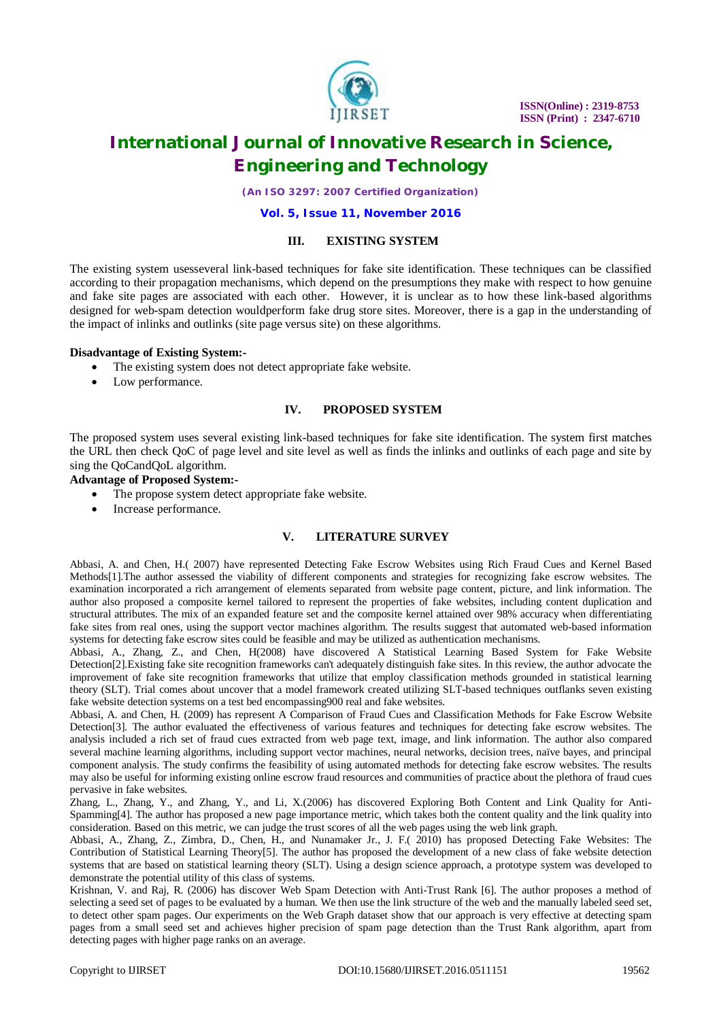

*(An ISO 3297: 2007 Certified Organization)*

**Vol. 5, Issue 11, November 2016**

### **III. EXISTING SYSTEM**

The existing system usesseveral link-based techniques for fake site identification. These techniques can be classified according to their propagation mechanisms, which depend on the presumptions they make with respect to how genuine and fake site pages are associated with each other. However, it is unclear as to how these link-based algorithms designed for web-spam detection wouldperform fake drug store sites. Moreover, there is a gap in the understanding of the impact of inlinks and outlinks (site page versus site) on these algorithms.

#### **Disadvantage of Existing System:-**

- The existing system does not detect appropriate fake website.
- Low performance.

## **IV. PROPOSED SYSTEM**

The proposed system uses several existing link-based techniques for fake site identification. The system first matches the URL then check QoC of page level and site level as well as finds the inlinks and outlinks of each page and site by sing the QoCandQoL algorithm.

#### **Advantage of Proposed System:-**

- The propose system detect appropriate fake website.
- Increase performance.

### **V. LITERATURE SURVEY**

Abbasi, A. and Chen, H.( 2007) have represented Detecting Fake Escrow Websites using Rich Fraud Cues and Kernel Based Methods[1].The author assessed the viability of different components and strategies for recognizing fake escrow websites. The examination incorporated a rich arrangement of elements separated from website page content, picture, and link information. The author also proposed a composite kernel tailored to represent the properties of fake websites, including content duplication and structural attributes. The mix of an expanded feature set and the composite kernel attained over 98% accuracy when differentiating fake sites from real ones, using the support vector machines algorithm. The results suggest that automated web-based information systems for detecting fake escrow sites could be feasible and may be utilized as authentication mechanisms.

Abbasi, A., Zhang, Z., and Chen, H(2008) have discovered A Statistical Learning Based System for Fake Website Detection[2].Existing fake site recognition frameworks can't adequately distinguish fake sites. In this review, the author advocate the improvement of fake site recognition frameworks that utilize that employ classification methods grounded in statistical learning theory (SLT). Trial comes about uncover that a model framework created utilizing SLT-based techniques outflanks seven existing fake website detection systems on a test bed encompassing900 real and fake websites.

Abbasi, A. and Chen, H. (2009) has represent A Comparison of Fraud Cues and Classification Methods for Fake Escrow Website Detection[3]. The author evaluated the effectiveness of various features and techniques for detecting fake escrow websites. The analysis included a rich set of fraud cues extracted from web page text, image, and link information. The author also compared several machine learning algorithms, including support vector machines, neural networks, decision trees, naïve bayes, and principal component analysis. The study confirms the feasibility of using automated methods for detecting fake escrow websites. The results may also be useful for informing existing online escrow fraud resources and communities of practice about the plethora of fraud cues pervasive in fake websites.

Zhang, L., Zhang, Y., and Zhang, Y., and Li, X.(2006) has discovered Exploring Both Content and Link Quality for Anti-Spamming[4]. The author has proposed a new page importance metric, which takes both the content quality and the link quality into consideration. Based on this metric, we can judge the trust scores of all the web pages using the web link graph.

Abbasi, A., Zhang, Z., Zimbra, D., Chen, H., and Nunamaker Jr., J. F.( 2010) has proposed Detecting Fake Websites: The Contribution of Statistical Learning Theory[5]. The author has proposed the development of a new class of fake website detection systems that are based on statistical learning theory (SLT). Using a design science approach, a prototype system was developed to demonstrate the potential utility of this class of systems.

Krishnan, V. and Raj, R. (2006) has discover Web Spam Detection with Anti-Trust Rank [6]. The author proposes a method of selecting a seed set of pages to be evaluated by a human. We then use the link structure of the web and the manually labeled seed set, to detect other spam pages. Our experiments on the Web Graph dataset show that our approach is very effective at detecting spam pages from a small seed set and achieves higher precision of spam page detection than the Trust Rank algorithm, apart from detecting pages with higher page ranks on an average.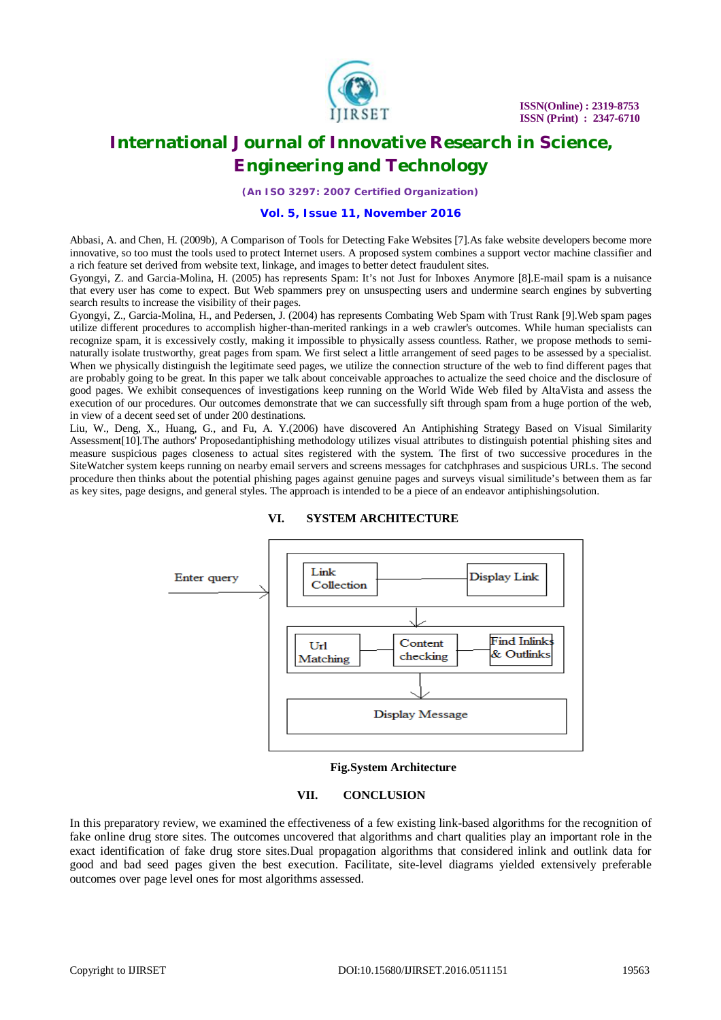

*(An ISO 3297: 2007 Certified Organization)*

#### **Vol. 5, Issue 11, November 2016**

Abbasi, A. and Chen, H. (2009b), A Comparison of Tools for Detecting Fake Websites [7].As fake website developers become more innovative, so too must the tools used to protect Internet users. A proposed system combines a support vector machine classifier and a rich feature set derived from website text, linkage, and images to better detect fraudulent sites.

Gyongyi, Z. and Garcia-Molina, H. (2005) has represents Spam: It's not Just for Inboxes Anymore [8].E-mail spam is a nuisance that every user has come to expect. But Web spammers prey on unsuspecting users and undermine search engines by subverting search results to increase the visibility of their pages.

Gyongyi, Z., Garcia-Molina, H., and Pedersen, J. (2004) has represents Combating Web Spam with Trust Rank [9].Web spam pages utilize different procedures to accomplish higher-than-merited rankings in a web crawler's outcomes. While human specialists can recognize spam, it is excessively costly, making it impossible to physically assess countless. Rather, we propose methods to seminaturally isolate trustworthy, great pages from spam. We first select a little arrangement of seed pages to be assessed by a specialist. When we physically distinguish the legitimate seed pages, we utilize the connection structure of the web to find different pages that are probably going to be great. In this paper we talk about conceivable approaches to actualize the seed choice and the disclosure of good pages. We exhibit consequences of investigations keep running on the World Wide Web filed by AltaVista and assess the execution of our procedures. Our outcomes demonstrate that we can successfully sift through spam from a huge portion of the web, in view of a decent seed set of under 200 destinations.

Liu, W., Deng, X., Huang, G., and Fu, A. Y.(2006) have discovered An Antiphishing Strategy Based on Visual Similarity Assessment[10].The authors' Proposedantiphishing methodology utilizes visual attributes to distinguish potential phishing sites and measure suspicious pages closeness to actual sites registered with the system. The first of two successive procedures in the SiteWatcher system keeps running on nearby email servers and screens messages for catchphrases and suspicious URLs. The second procedure then thinks about the potential phishing pages against genuine pages and surveys visual similitude's between them as far as key sites, page designs, and general styles. The approach is intended to be a piece of an endeavor antiphishingsolution.



### **VI. SYSTEM ARCHITECTURE**

#### **Fig.System Architecture**

#### **VII. CONCLUSION**

In this preparatory review, we examined the effectiveness of a few existing link-based algorithms for the recognition of fake online drug store sites. The outcomes uncovered that algorithms and chart qualities play an important role in the exact identification of fake drug store sites.Dual propagation algorithms that considered inlink and outlink data for good and bad seed pages given the best execution. Facilitate, site-level diagrams yielded extensively preferable outcomes over page level ones for most algorithms assessed.